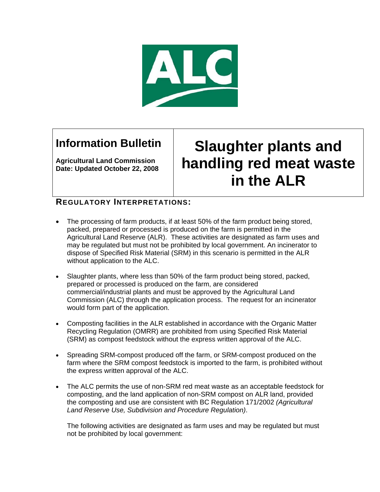

## **Information Bulletin**

**Agricultural Land Commission Date: Updated October 22, 2008** 

## **Slaughter plants and handling red meat waste in the ALR**

## **REGULATORY INTERPRETATIONS:**

- The processing of farm products, if at least 50% of the farm product being stored, packed, prepared or processed is produced on the farm is permitted in the Agricultural Land Reserve (ALR). These activities are designated as farm uses and may be regulated but must not be prohibited by local government. An incinerator to dispose of Specified Risk Material (SRM) in this scenario is permitted in the ALR without application to the ALC.
- Slaughter plants, where less than 50% of the farm product being stored, packed, prepared or processed is produced on the farm, are considered commercial/industrial plants and must be approved by the Agricultural Land Commission (ALC) through the application process. The request for an incinerator would form part of the application.
- Composting facilities in the ALR established in accordance with the Organic Matter Recycling Regulation (OMRR) are prohibited from using Specified Risk Material (SRM) as compost feedstock without the express written approval of the ALC.
- Spreading SRM-compost produced off the farm, or SRM-compost produced on the farm where the SRM compost feedstock is imported to the farm, is prohibited without the express written approval of the ALC.
- The ALC permits the use of non-SRM red meat waste as an acceptable feedstock for composting, and the land application of non-SRM compost on ALR land, provided the composting and use are consistent with BC Regulation 171/2002 *(Agricultural Land Reserve Use, Subdivision and Procedure Regulation)*.

The following activities are designated as farm uses and may be regulated but must not be prohibited by local government: